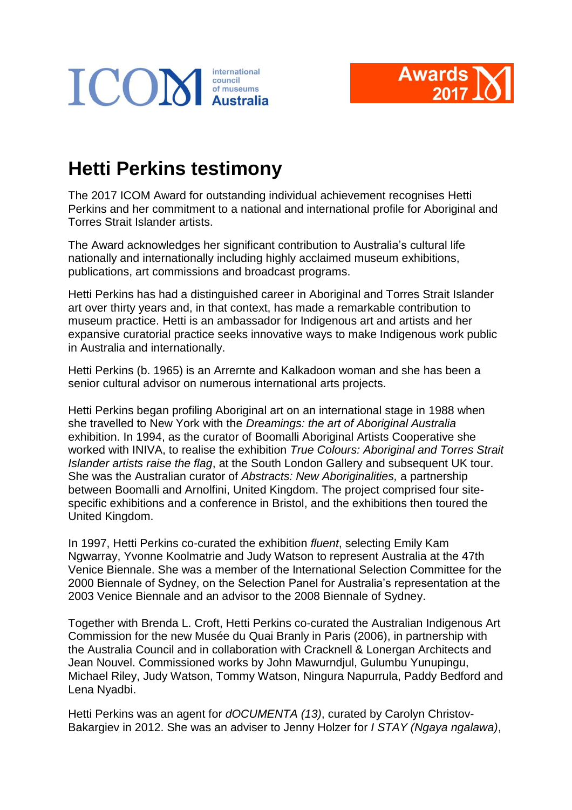



## **Hetti Perkins testimony**

The 2017 ICOM Award for outstanding individual achievement recognises Hetti Perkins and her commitment to a national and international profile for Aboriginal and Torres Strait Islander artists.

The Award acknowledges her significant contribution to Australia's cultural life nationally and internationally including highly acclaimed museum exhibitions, publications, art commissions and broadcast programs.

Hetti Perkins has had a distinguished career in Aboriginal and Torres Strait Islander art over thirty years and, in that context, has made a remarkable contribution to museum practice. Hetti is an ambassador for Indigenous art and artists and her expansive curatorial practice seeks innovative ways to make Indigenous work public in Australia and internationally.

Hetti Perkins (b. 1965) is an Arrernte and Kalkadoon woman and she has been a senior cultural advisor on numerous international arts projects.

Hetti Perkins began profiling Aboriginal art on an international stage in 1988 when she travelled to New York with the *Dreamings: the art of Aboriginal Australia* exhibition. In 1994, as the curator of Boomalli Aboriginal Artists Cooperative she worked with INIVA, to realise the exhibition *True Colours: Aboriginal and Torres Strait Islander artists raise the flag*, at the South London Gallery and subsequent UK tour. She was the Australian curator of *Abstracts: New Aboriginalities,* a partnership between Boomalli and Arnolfini, United Kingdom. The project comprised four sitespecific exhibitions and a conference in Bristol, and the exhibitions then toured the United Kingdom.

In 1997, Hetti Perkins co-curated the exhibition *fluent*, selecting Emily Kam Ngwarray, Yvonne Koolmatrie and Judy Watson to represent Australia at the 47th Venice Biennale. She was a member of the International Selection Committee for the 2000 Biennale of Sydney, on the Selection Panel for Australia's representation at the 2003 Venice Biennale and an advisor to the 2008 Biennale of Sydney.

Together with Brenda L. Croft, Hetti Perkins co-curated the Australian Indigenous Art Commission for the new Musée du Quai Branly in Paris (2006), in partnership with the Australia Council and in collaboration with Cracknell & Lonergan Architects and Jean Nouvel. Commissioned works by John Mawurndjul, Gulumbu Yunupingu, Michael Riley, Judy Watson, Tommy Watson, Ningura Napurrula, Paddy Bedford and Lena Nyadbi.

Hetti Perkins was an agent for *dOCUMENTA (13)*, curated by Carolyn Christov-Bakargiev in 2012. She was an adviser to Jenny Holzer for *I STAY (Ngaya ngalawa)*,